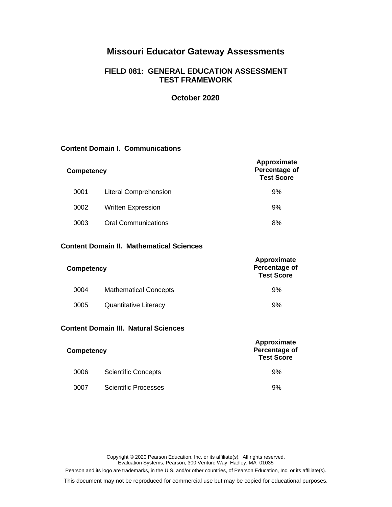# **Missouri Educator Gateway Assessments**

## **FIELD 081: GENERAL EDUCATION ASSESSMENT TEST FRAMEWORK**

## **October 2020**

**Approximate**

## **Content Domain I. Communications**

| <b>Competency</b> |                              | Approximate<br>Percentage of<br><b>Test Score</b> |
|-------------------|------------------------------|---------------------------------------------------|
| 0001              | <b>Literal Comprehension</b> | 9%                                                |
| 0002              | <b>Written Expression</b>    | 9%                                                |
| 0003              | <b>Oral Communications</b>   | 8%                                                |

## **Content Domain II. Mathematical Sciences**

| Competency |                              | Approximate<br>Percentage of<br><b>Test Score</b> |
|------------|------------------------------|---------------------------------------------------|
| 0004       | <b>Mathematical Concepts</b> | 9%                                                |
| 0005       | <b>Quantitative Literacy</b> | 9%                                                |

## **Content Domain III. Natural Sciences**

| Competency |                             | Approximate<br>Percentage of<br><b>Test Score</b> |
|------------|-----------------------------|---------------------------------------------------|
| 0006       | <b>Scientific Concepts</b>  | 9%                                                |
| 0007       | <b>Scientific Processes</b> | 9%                                                |

Copyright © 2020 Pearson Education, Inc. or its affiliate(s). All rights reserved. Evaluation Systems, Pearson, 300 Venture Way, Hadley, MA 01035

Pearson and its logo are trademarks, in the U.S. and/or other countries, of Pearson Education, Inc. or its affiliate(s).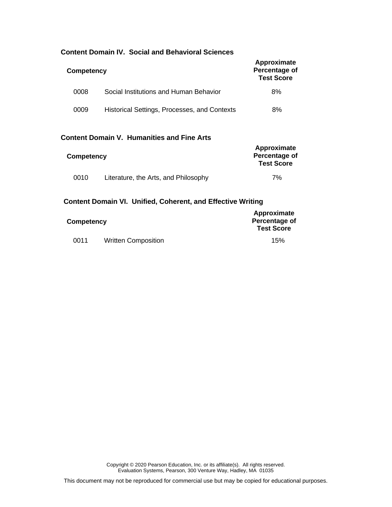| Competency |                                              | Approximate<br>Percentage of<br><b>Test Score</b> |
|------------|----------------------------------------------|---------------------------------------------------|
| 0008       | Social Institutions and Human Behavior       | 8%                                                |
| 0009       | Historical Settings, Processes, and Contexts | 8%                                                |

## **Content Domain IV. Social and Behavioral Sciences**

## **Content Domain V. Humanities and Fine Arts**

| Competency |                                      | Approximate<br>Percentage of<br><b>Test Score</b> |
|------------|--------------------------------------|---------------------------------------------------|
| 0010       | Literature, the Arts, and Philosophy | 7%                                                |

## **Content Domain VI. Unified, Coherent, and Effective Writing**

| Competency |                            | Approximate<br>Percentage of<br><b>Test Score</b> |
|------------|----------------------------|---------------------------------------------------|
| 0011       | <b>Written Composition</b> | 15%                                               |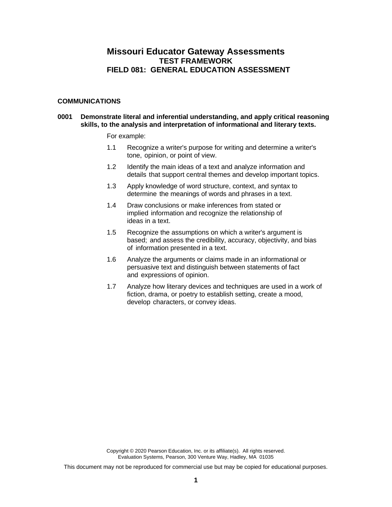## **Missouri Educator Gateway Assessments TEST FRAMEWORK FIELD 081: GENERAL EDUCATION ASSESSMENT**

#### **COMMUNICATIONS**

### **0001 Demonstrate literal and inferential understanding, and apply critical reasoning skills, to the analysis and interpretation of informational and literary texts.**

For example:

- 1.1 Recognize a writer's purpose for writing and determine a writer's tone, opinion, or point of view.
- 1.2 Identify the main ideas of a text and analyze information and details that support central themes and develop important topics.
- 1.3 Apply knowledge of word structure, context, and syntax to determine the meanings of words and phrases in a text.
- 1.4 Draw conclusions or make inferences from stated or implied information and recognize the relationship of ideas in a text.
- 1.5 Recognize the assumptions on which a writer's argument is based; and assess the credibility, accuracy, objectivity, and bias of information presented in a text.
- 1.6 Analyze the arguments or claims made in an informational or persuasive text and distinguish between statements of fact and expressions of opinion.
- 1.7 Analyze how literary devices and techniques are used in a work of fiction, drama, or poetry to establish setting, create a mood, develop characters, or convey ideas.

Copyright © 2020 Pearson Education, Inc. or its affiliate(s). All rights reserved. Evaluation Systems, Pearson, 300 Venture Way, Hadley, MA 01035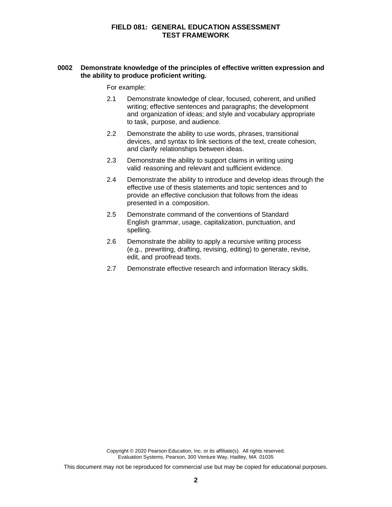#### **0002 Demonstrate knowledge of the principles of effective written expression and the ability to produce proficient writing.**

For example:

- 2.1 Demonstrate knowledge of clear, focused, coherent, and unified writing; effective sentences and paragraphs; the development and organization of ideas; and style and vocabulary appropriate to task, purpose, and audience.
- 2.2 Demonstrate the ability to use words, phrases, transitional devices, and syntax to link sections of the text, create cohesion, and clarify relationships between ideas.
- 2.3 Demonstrate the ability to support claims in writing using valid reasoning and relevant and sufficient evidence.
- 2.4 Demonstrate the ability to introduce and develop ideas through the effective use of thesis statements and topic sentences and to provide an effective conclusion that follows from the ideas presented in a composition.
- 2.5 Demonstrate command of the conventions of Standard English grammar, usage, capitalization, punctuation, and spelling.
- 2.6 Demonstrate the ability to apply a recursive writing process (e.g., prewriting, drafting, revising, editing) to generate, revise, edit, and proofread texts.
- 2.7 Demonstrate effective research and information literacy skills.

Copyright © 2020 Pearson Education, Inc. or its affiliate(s). All rights reserved. Evaluation Systems, Pearson, 300 Venture Way, Hadley, MA 01035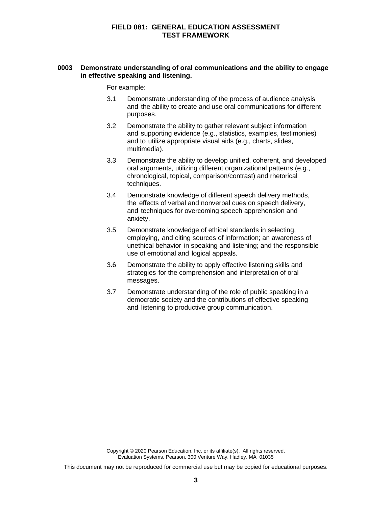#### **0003 Demonstrate understanding of oral communications and the ability to engage in effective speaking and listening.**

For example:

- 3.1 Demonstrate understanding of the process of audience analysis and the ability to create and use oral communications for different purposes.
- 3.2 Demonstrate the ability to gather relevant subject information and supporting evidence (e.g., statistics, examples, testimonies) and to utilize appropriate visual aids (e.g., charts, slides, multimedia).
- 3.3 Demonstrate the ability to develop unified, coherent, and developed oral arguments, utilizing different organizational patterns (e.g., chronological, topical, comparison/contrast) and rhetorical techniques.
- 3.4 Demonstrate knowledge of different speech delivery methods, the effects of verbal and nonverbal cues on speech delivery, and techniques for overcoming speech apprehension and anxiety.
- 3.5 Demonstrate knowledge of ethical standards in selecting, employing, and citing sources of information; an awareness of unethical behavior in speaking and listening; and the responsible use of emotional and logical appeals.
- 3.6 Demonstrate the ability to apply effective listening skills and strategies for the comprehension and interpretation of oral messages.
- 3.7 Demonstrate understanding of the role of public speaking in a democratic society and the contributions of effective speaking and listening to productive group communication.

Copyright © 2020 Pearson Education, Inc. or its affiliate(s). All rights reserved. Evaluation Systems, Pearson, 300 Venture Way, Hadley, MA 01035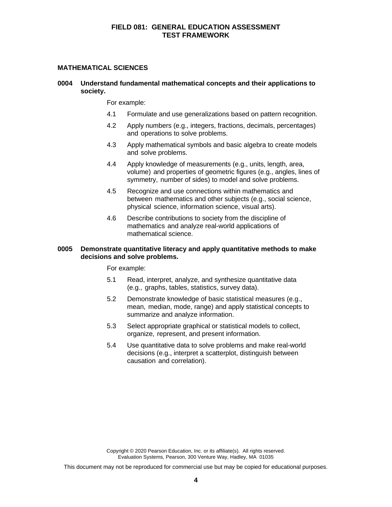#### **MATHEMATICAL SCIENCES**

### **0004 Understand fundamental mathematical concepts and their applications to society.**

For example:

- 4.1 Formulate and use generalizations based on pattern recognition.
- 4.2 Apply numbers (e.g., integers, fractions, decimals, percentages) and operations to solve problems.
- 4.3 Apply mathematical symbols and basic algebra to create models and solve problems.
- 4.4 Apply knowledge of measurements (e.g., units, length, area, volume) and properties of geometric figures (e.g., angles, lines of symmetry, number of sides) to model and solve problems.
- 4.5 Recognize and use connections within mathematics and between mathematics and other subjects (e.g., social science, physical science, information science, visual arts).
- 4.6 Describe contributions to society from the discipline of mathematics and analyze real-world applications of mathematical science.

#### **0005 Demonstrate quantitative literacy and apply quantitative methods to make decisions and solve problems.**

For example:

- 5.1 Read, interpret, analyze, and synthesize quantitative data (e.g., graphs, tables, statistics, survey data).
- 5.2 Demonstrate knowledge of basic statistical measures (e.g., mean, median, mode, range) and apply statistical concepts to summarize and analyze information.
- 5.3 Select appropriate graphical or statistical models to collect, organize, represent, and present information.
- 5.4 Use quantitative data to solve problems and make real-world decisions (e.g., interpret a scatterplot, distinguish between causation and correlation).

Copyright © 2020 Pearson Education, Inc. or its affiliate(s). All rights reserved. Evaluation Systems, Pearson, 300 Venture Way, Hadley, MA 01035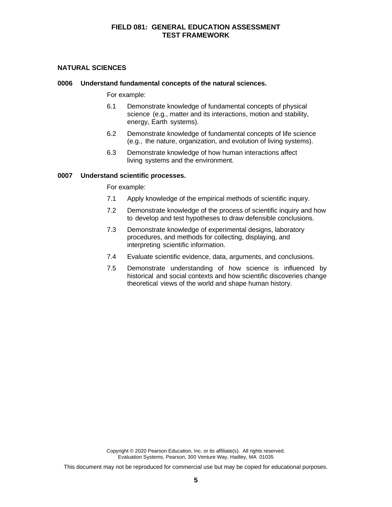### **NATURAL SCIENCES**

#### **0006 Understand fundamental concepts of the natural sciences.**

For example:

- 6.1 Demonstrate knowledge of fundamental concepts of physical science (e.g., matter and its interactions, motion and stability, energy, Earth systems).
- 6.2 Demonstrate knowledge of fundamental concepts of life science (e.g., the nature, organization, and evolution of living systems).
- 6.3 Demonstrate knowledge of how human interactions affect living systems and the environment.

#### **0007 Understand scientific processes.**

For example:

- 7.1 Apply knowledge of the empirical methods of scientific inquiry.
- 7.2 Demonstrate knowledge of the process of scientific inquiry and how to develop and test hypotheses to draw defensible conclusions.
- 7.3 Demonstrate knowledge of experimental designs, laboratory procedures, and methods for collecting, displaying, and interpreting scientific information.
- 7.4 Evaluate scientific evidence, data, arguments, and conclusions.
- 7.5 Demonstrate understanding of how science is influenced by historical and social contexts and how scientific discoveries change theoretical views of the world and shape human history.

Copyright © 2020 Pearson Education, Inc. or its affiliate(s). All rights reserved. Evaluation Systems, Pearson, 300 Venture Way, Hadley, MA 01035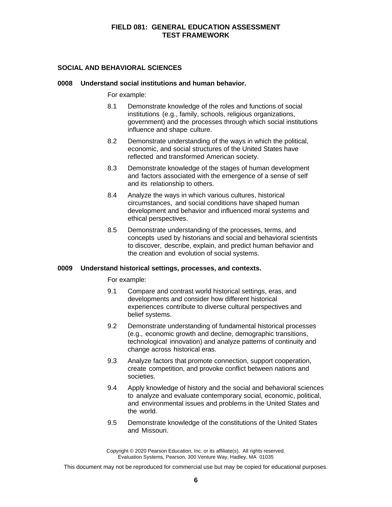#### **SOCIAL AND BEHAVIORAL SCIENCES**

#### **0008 Understand social institutions and human behavior.**

For example:

- 8.1 Demonstrate knowledge of the roles and functions of social institutions (e.g., family, schools, religious organizations, government) and the processes through which social institutions influence and shape culture.
- 8.2 Demonstrate understanding of the ways in which the political, economic, and social structures of the United States have reflected and transformed American society.
- 8.3 Demonstrate knowledge of the stages of human development and factors associated with the emergence of a sense of self and its relationship to others.
- 8.4 Analyze the ways in which various cultures, historical circumstances, and social conditions have shaped human development and behavior and influenced moral systems and ethical perspectives.
- 8.5 Demonstrate understanding of the processes, terms, and concepts used by historians and social and behavioral scientists to discover, describe, explain, and predict human behavior and the creation and evolution of social systems.

#### **0009 Understand historical settings, processes, and contexts.**

For example:

- 9.1 Compare and contrast world historical settings, eras, and developments and consider how different historical experiences contribute to diverse cultural perspectives and belief systems.
- 9.2 Demonstrate understanding of fundamental historical processes (e.g., economic growth and decline, demographic transitions, technological innovation) and analyze patterns of continuity and change across historical eras.
- 9.3 Analyze factors that promote connection, support cooperation, create competition, and provoke conflict between nations and societies.
- 9.4 Apply knowledge of history and the social and behavioral sciences to analyze and evaluate contemporary social, economic, political, and environmental issues and problems in the United States and the world.
- 9.5 Demonstrate knowledge of the constitutions of the United States and Missouri.

Copyright © 2020 Pearson Education, Inc. or its affiliate(s). All rights reserved. Evaluation Systems, Pearson, 300 Venture Way, Hadley, MA 01035